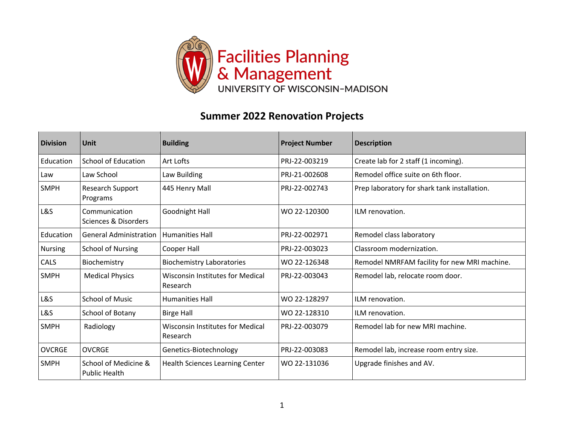

## **Summer 2022 Renovation Projects**

| <b>Division</b> | Unit                                         | <b>Building</b>                              | <b>Project Number</b> | <b>Description</b>                           |
|-----------------|----------------------------------------------|----------------------------------------------|-----------------------|----------------------------------------------|
| Education       | <b>School of Education</b>                   | Art Lofts                                    | PRJ-22-003219         | Create lab for 2 staff (1 incoming).         |
| Law             | Law School                                   | Law Building                                 | PRJ-21-002608         | Remodel office suite on 6th floor.           |
| <b>SMPH</b>     | <b>Research Support</b><br>Programs          | 445 Henry Mall                               | PRJ-22-002743         | Prep laboratory for shark tank installation. |
| L&S             | Communication<br>Sciences & Disorders        | Goodnight Hall                               | WO 22-120300          | ILM renovation.                              |
| Education       | <b>General Administration</b>                | <b>Humanities Hall</b>                       | PRJ-22-002971         | Remodel class laboratory                     |
| <b>Nursing</b>  | <b>School of Nursing</b>                     | Cooper Hall                                  | PRJ-22-003023         | Classroom modernization.                     |
| CALS            | Biochemistry                                 | <b>Biochemistry Laboratories</b>             | WO 22-126348          | Remodel NMRFAM facility for new MRI machine. |
| <b>SMPH</b>     | <b>Medical Physics</b>                       | Wisconsin Institutes for Medical<br>Research | PRJ-22-003043         | Remodel lab, relocate room door.             |
| L&S             | <b>School of Music</b>                       | <b>Humanities Hall</b>                       | WO 22-128297          | ILM renovation.                              |
| L&S             | School of Botany                             | <b>Birge Hall</b>                            | WO 22-128310          | ILM renovation.                              |
| <b>SMPH</b>     | Radiology                                    | Wisconsin Institutes for Medical<br>Research | PRJ-22-003079         | Remodel lab for new MRI machine.             |
| <b>OVCRGE</b>   | <b>OVCRGE</b>                                | Genetics-Biotechnology                       | PRJ-22-003083         | Remodel lab, increase room entry size.       |
| <b>SMPH</b>     | School of Medicine &<br><b>Public Health</b> | <b>Health Sciences Learning Center</b>       | WO 22-131036          | Upgrade finishes and AV.                     |